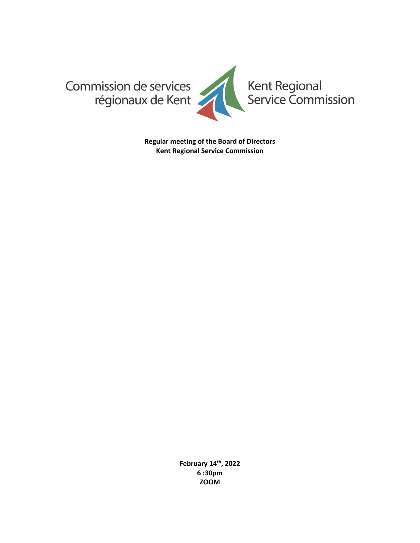

**Regular meeting of the Board of Directors Kent Regional Service Commission**

> **February 14th, 2022 6 :30pm ZOOM**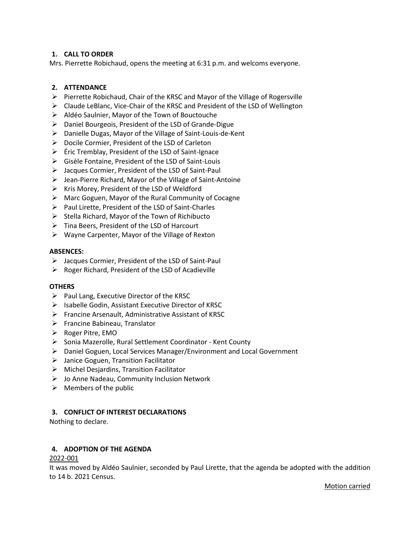# **1. CALL TO ORDER**

Mrs. Pierrette Robichaud, opens the meeting at 6:31 p.m. and welcoms everyone.

## **2. ATTENDANCE**

- ➢ Pierrette Robichaud, Chair of the KRSC and Mayor of the Village of Rogersville
- ➢ Claude LeBlanc, Vice-Chair of the KRSC and President of the LSD of Wellington
- ➢ Aldéo Saulnier, Mayor of the Town of Bouctouche
- ➢ Daniel Bourgeois, President of the LSD of Grande-Digue
- ➢ Danielle Dugas, Mayor of the Village of Saint-Louis-de-Kent
- ➢ Docile Cormier, President of the LSD of Carleton
- ➢ Éric Tremblay, President of the LSD of Saint-Ignace
- ➢ Gisèle Fontaine, President of the LSD of Saint-Louis
- ➢ Jacques Cormier, President of the LSD of Saint-Paul
- ➢ Jean-Pierre Richard, Mayor of the Village of Saint-Antoine
- ➢ Kris Morey, President of the LSD of Weldford
- ➢ Marc Goguen, Mayor of the Rural Community of Cocagne
- ➢ Paul Lirette, President of the LSD of Saint-Charles
- $\triangleright$  Stella Richard, Mayor of the Town of Richibucto
- ➢ Tina Beers, President of the LSD of Harcourt
- ➢ Wayne Carpenter, Mayor of the Village of Rexton

### **ABSENCES:**

- ➢ Jacques Cormier, President of the LSD of Saint-Paul
- $\triangleright$  Roger Richard, President of the LSD of Acadieville

### **OTHERS**

- $\triangleright$  Paul Lang, Executive Director of the KRSC
- ➢ Isabelle Godin, Assistant Executive Director of KRSC
- ➢ Francine Arsenault, Administrative Assistant of KRSC
- ➢ Francine Babineau, Translator
- ➢ Roger Pitre, EMO
- ➢ Sonia Mazerolle, Rural Settlement Coordinator Kent County
- ➢ Daniel Goguen, Local Services Manager/Environment and Local Government
- $\triangleright$  Janice Goguen, Transition Facilitator
- $\triangleright$  Michel Desjardins, Transition Facilitator
- ➢ Jo Anne Nadeau, Community Inclusion Network
- $\triangleright$  Members of the public

### **3. CONFLICT OF INTEREST DECLARATIONS**

Nothing to declare.

### **4. ADOPTION OF THE AGENDA**

### 2022-001

It was moved by Aldéo Saulnier, seconded by Paul Lirette, that the agenda be adopted with the addition to 14 b. 2021 Census.

Motion carried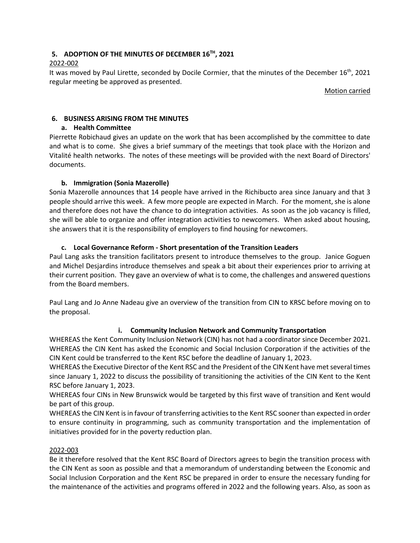# **5. ADOPTION OF THE MINUTES OF DECEMBER 16TH , 2021**

# 2022-002

It was moved by Paul Lirette, seconded by Docile Cormier, that the minutes of the December 16<sup>th</sup>, 2021 regular meeting be approved as presented.

Motion carried

# **6. BUSINESS ARISING FROM THE MINUTES**

# **a. Health Committee**

Pierrette Robichaud gives an update on the work that has been accomplished by the committee to date and what is to come. She gives a brief summary of the meetings that took place with the Horizon and Vitalité health networks. The notes of these meetings will be provided with the next Board of Directors' documents.

# **b. Immigration (Sonia Mazerolle)**

Sonia Mazerolle announces that 14 people have arrived in the Richibucto area since January and that 3 people should arrive this week. A few more people are expected in March. For the moment, she is alone and therefore does not have the chance to do integration activities. As soon as the job vacancy is filled, she will be able to organize and offer integration activities to newcomers. When asked about housing, she answers that it is the responsibility of employers to find housing for newcomers.

# **c. Local Governance Reform - Short presentation of the Transition Leaders**

Paul Lang asks the transition facilitators present to introduce themselves to the group. Janice Goguen and Michel Desjardins introduce themselves and speak a bit about their experiences prior to arriving at their current position. They gave an overview of what is to come, the challenges and answered questions from the Board members.

Paul Lang and Jo Anne Nadeau give an overview of the transition from CIN to KRSC before moving on to the proposal.

# **i. Community Inclusion Network and Community Transportation**

WHEREAS the Kent Community Inclusion Network (CIN) has not had a coordinator since December 2021. WHEREAS the CIN Kent has asked the Economic and Social Inclusion Corporation if the activities of the CIN Kent could be transferred to the Kent RSC before the deadline of January 1, 2023.

WHEREAS the Executive Director of the Kent RSC and the President of the CIN Kent have met several times since January 1, 2022 to discuss the possibility of transitioning the activities of the CIN Kent to the Kent RSC before January 1, 2023.

WHEREAS four CINs in New Brunswick would be targeted by this first wave of transition and Kent would be part of this group.

WHEREAS the CIN Kent is in favour of transferring activities to the Kent RSC sooner than expected in order to ensure continuity in programming, such as community transportation and the implementation of initiatives provided for in the poverty reduction plan.

### 2022-003

Be it therefore resolved that the Kent RSC Board of Directors agrees to begin the transition process with the CIN Kent as soon as possible and that a memorandum of understanding between the Economic and Social Inclusion Corporation and the Kent RSC be prepared in order to ensure the necessary funding for the maintenance of the activities and programs offered in 2022 and the following years. Also, as soon as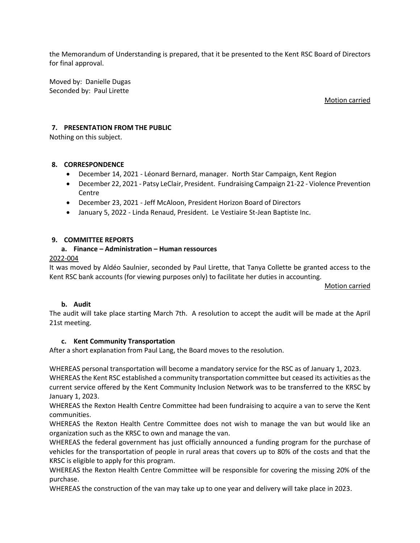the Memorandum of Understanding is prepared, that it be presented to the Kent RSC Board of Directors for final approval.

Moved by: Danielle Dugas Seconded by: Paul Lirette

### Motion carried

## **7. PRESENTATION FROM THE PUBLIC**

Nothing on this subject.

### **8. CORRESPONDENCE**

- December 14, 2021 Léonard Bernard, manager. North Star Campaign, Kent Region
- December 22, 2021 Patsy LeClair, President. Fundraising Campaign 21-22 Violence Prevention **Centre**
- December 23, 2021 Jeff McAloon, President Horizon Board of Directors
- January 5, 2022 Linda Renaud, President. Le Vestiaire St-Jean Baptiste Inc.

### **9. COMMITTEE REPORTS**

### **a. Finance – Administration – Human ressources**

### 2022-004

It was moved by Aldéo Saulnier, seconded by Paul Lirette, that Tanya Collette be granted access to the Kent RSC bank accounts (for viewing purposes only) to facilitate her duties in accounting.

Motion carried

#### **b. Audit**

The audit will take place starting March 7th. A resolution to accept the audit will be made at the April 21st meeting.

### **c. Kent Community Transportation**

After a short explanation from Paul Lang, the Board moves to the resolution.

WHEREAS personal transportation will become a mandatory service for the RSC as of January 1, 2023.

WHEREAS the Kent RSC established a community transportation committee but ceased its activities as the current service offered by the Kent Community Inclusion Network was to be transferred to the KRSC by January 1, 2023.

WHEREAS the Rexton Health Centre Committee had been fundraising to acquire a van to serve the Kent communities.

WHEREAS the Rexton Health Centre Committee does not wish to manage the van but would like an organization such as the KRSC to own and manage the van.

WHEREAS the federal government has just officially announced a funding program for the purchase of vehicles for the transportation of people in rural areas that covers up to 80% of the costs and that the KRSC is eligible to apply for this program.

WHEREAS the Rexton Health Centre Committee will be responsible for covering the missing 20% of the purchase.

WHEREAS the construction of the van may take up to one year and delivery will take place in 2023.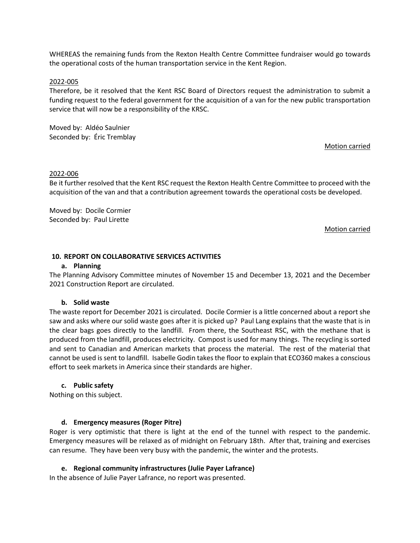WHEREAS the remaining funds from the Rexton Health Centre Committee fundraiser would go towards the operational costs of the human transportation service in the Kent Region.

#### 2022-005

Therefore, be it resolved that the Kent RSC Board of Directors request the administration to submit a funding request to the federal government for the acquisition of a van for the new public transportation service that will now be a responsibility of the KRSC.

Moved by: Aldéo Saulnier Seconded by: Éric Tremblay

#### Motion carried

#### 2022-006

Be it further resolved that the Kent RSC request the Rexton Health Centre Committee to proceed with the acquisition of the van and that a contribution agreement towards the operational costs be developed.

Moved by: Docile Cormier Seconded by: Paul Lirette

#### Motion carried

#### **10. REPORT ON COLLABORATIVE SERVICES ACTIVITIES**

#### **a. Planning**

The Planning Advisory Committee minutes of November 15 and December 13, 2021 and the December 2021 Construction Report are circulated.

#### **b. Solid waste**

The waste report for December 2021 is circulated. Docile Cormier is a little concerned about a report she saw and asks where our solid waste goes after it is picked up? Paul Lang explains that the waste that is in the clear bags goes directly to the landfill. From there, the Southeast RSC, with the methane that is produced from the landfill, produces electricity. Compost is used for many things. The recycling is sorted and sent to Canadian and American markets that process the material. The rest of the material that cannot be used is sent to landfill. Isabelle Godin takes the floor to explain that ECO360 makes a conscious effort to seek markets in America since their standards are higher.

#### **c. Public safety**

Nothing on this subject.

#### **d. Emergency measures (Roger Pitre)**

Roger is very optimistic that there is light at the end of the tunnel with respect to the pandemic. Emergency measures will be relaxed as of midnight on February 18th. After that, training and exercises can resume. They have been very busy with the pandemic, the winter and the protests.

#### **e. Regional community infrastructures (Julie Payer Lafrance)**

In the absence of Julie Payer Lafrance, no report was presented.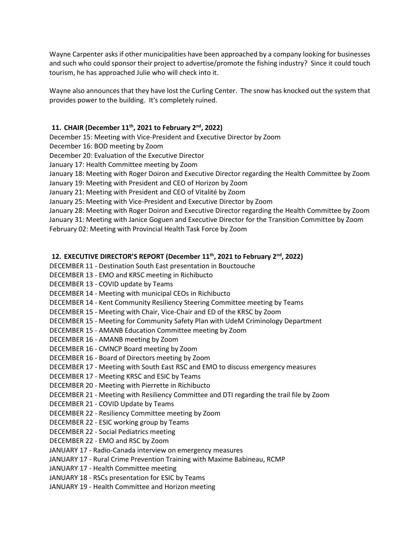Wayne Carpenter asks if other municipalities have been approached by a company looking for businesses and such who could sponsor their project to advertise/promote the fishing industry? Since it could touch tourism, he has approached Julie who will check into it.

Wayne also announces that they have lost the Curling Center. The snow has knocked out the system that provides power to the building. It's completely ruined.

# **11. CHAIR (December 11th, 2021 to February 2nd, 2022)**

December 15: Meeting with Vice-President and Executive Director by Zoom

December 16: BOD meeting by Zoom

December 20: Evaluation of the Executive Director

January 17: Health Committee meeting by Zoom

January 18: Meeting with Roger Doiron and Executive Director regarding the Health Committee by Zoom

January 19: Meeting with President and CEO of Horizon by Zoom

January 21: Meeting with President and CEO of Vitalité by Zoom

January 25: Meeting with Vice-President and Executive Director by Zoom

January 28: Meeting with Roger Doiron and Executive Director regarding the Health Committee by Zoom January 31: Meeting with Janice Goguen and Executive Director for the Transition Committee by Zoom February 02: Meeting with Provincial Health Task Force by Zoom

## **12. EXECUTIVE DIRECTOR'S REPORT (December 11th, 2021 to February 2nd, 2022)**

DECEMBER 11 - Destination South East presentation in Bouctouche

DECEMBER 13 - EMO and KRSC meeting in Richibucto

- DECEMBER 13 COVID update by Teams
- DECEMBER 14 Meeting with municipal CEOs in Richibucto

DECEMBER 14 - Kent Community Resiliency Steering Committee meeting by Teams

DECEMBER 15 - Meeting with Chair, Vice-Chair and ED of the KRSC by Zoom

DECEMBER 15 - Meeting for Community Safety Plan with UdeM Criminology Department

- DECEMBER 15 AMANB Education Committee meeting by Zoom
- DECEMBER 16 AMANB meeting by Zoom
- DECEMBER 16 CMNCP Board meeting by Zoom
- DECEMBER 16 Board of Directors meeting by Zoom
- DECEMBER 17 Meeting with South East RSC and EMO to discuss emergency measures
- DECEMBER 17 Meeting KRSC and ESIC by Teams
- DECEMBER 20 Meeting with Pierrette in Richibucto
- DECEMBER 21 Meeting with Resiliency Committee and DTI regarding the trail file by Zoom
- DECEMBER 21 COVID Update by Teams
- DECEMBER 22 Resiliency Committee meeting by Zoom
- DECEMBER 22 ESIC working group by Teams
- DECEMBER 22 Social Pediatrics meeting
- DECEMBER 22 EMO and RSC by Zoom
- JANUARY 17 Radio-Canada interview on emergency measures
- JANUARY 17 Rural Crime Prevention Training with Maxime Babineau, RCMP
- JANUARY 17 Health Committee meeting
- JANUARY 18 RSCs presentation for ESIC by Teams
- JANUARY 19 Health Committee and Horizon meeting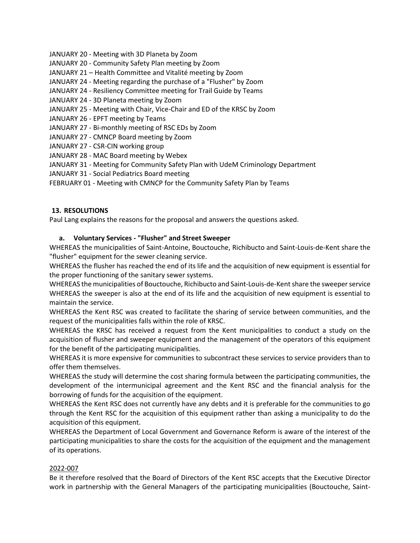- JANUARY 20 Meeting with 3D Planeta by Zoom
- JANUARY 20 Community Safety Plan meeting by Zoom
- JANUARY 21 Health Committee and Vitalité meeting by Zoom
- JANUARY 24 Meeting regarding the purchase of a "Flusher" by Zoom
- JANUARY 24 Resiliency Committee meeting for Trail Guide by Teams
- JANUARY 24 3D Planeta meeting by Zoom
- JANUARY 25 Meeting with Chair, Vice-Chair and ED of the KRSC by Zoom
- JANUARY 26 EPFT meeting by Teams
- JANUARY 27 Bi-monthly meeting of RSC EDs by Zoom
- JANUARY 27 CMNCP Board meeting by Zoom
- JANUARY 27 CSR-CIN working group
- JANUARY 28 MAC Board meeting by Webex
- JANUARY 31 Meeting for Community Safety Plan with UdeM Criminology Department
- JANUARY 31 Social Pediatrics Board meeting
- FEBRUARY 01 Meeting with CMNCP for the Community Safety Plan by Teams

# **13. RESOLUTIONS**

Paul Lang explains the reasons for the proposal and answers the questions asked.

## **a. Voluntary Services - "Flusher" and Street Sweeper**

WHEREAS the municipalities of Saint-Antoine, Bouctouche, Richibucto and Saint-Louis-de-Kent share the "flusher" equipment for the sewer cleaning service.

WHEREAS the flusher has reached the end of its life and the acquisition of new equipment is essential for the proper functioning of the sanitary sewer systems.

WHEREAS the municipalities of Bouctouche, Richibucto and Saint-Louis-de-Kent share the sweeper service WHEREAS the sweeper is also at the end of its life and the acquisition of new equipment is essential to maintain the service.

WHEREAS the Kent RSC was created to facilitate the sharing of service between communities, and the request of the municipalities falls within the role of KRSC.

WHEREAS the KRSC has received a request from the Kent municipalities to conduct a study on the acquisition of flusher and sweeper equipment and the management of the operators of this equipment for the benefit of the participating municipalities.

WHEREAS it is more expensive for communities to subcontract these services to service providers than to offer them themselves.

WHEREAS the study will determine the cost sharing formula between the participating communities, the development of the intermunicipal agreement and the Kent RSC and the financial analysis for the borrowing of funds for the acquisition of the equipment.

WHEREAS the Kent RSC does not currently have any debts and it is preferable for the communities to go through the Kent RSC for the acquisition of this equipment rather than asking a municipality to do the acquisition of this equipment.

WHEREAS the Department of Local Government and Governance Reform is aware of the interest of the participating municipalities to share the costs for the acquisition of the equipment and the management of its operations.

### 2022-007

Be it therefore resolved that the Board of Directors of the Kent RSC accepts that the Executive Director work in partnership with the General Managers of the participating municipalities (Bouctouche, Saint